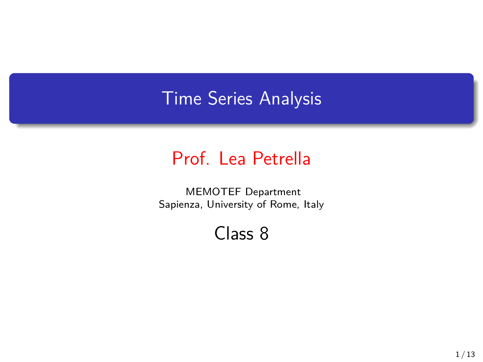## Time Series Analysis

## Prof. Lea Petrella

MEMOTEF Department Sapienza, University of Rome, Italy

Class 8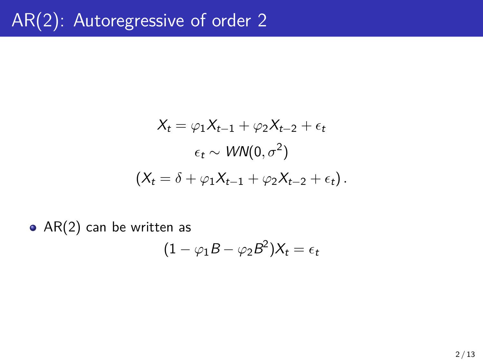$$
X_t = \varphi_1 X_{t-1} + \varphi_2 X_{t-2} + \epsilon_t
$$

$$
\epsilon_t \sim \text{WN}(0, \sigma^2)
$$

$$
(X_t = \delta + \varphi_1 X_{t-1} + \varphi_2 X_{t-2} + \epsilon_t).
$$

 $\bullet$  AR(2) can be written as

$$
(1 - \varphi_1 B - \varphi_2 B^2) X_t = \epsilon_t
$$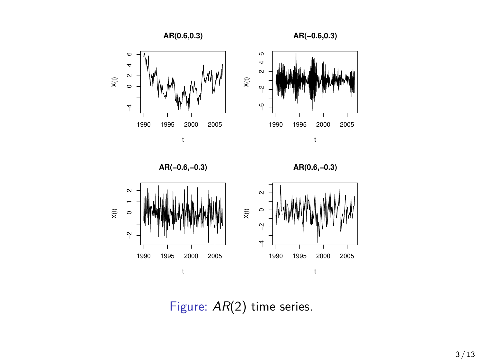







Figure: *AR*(2) time series.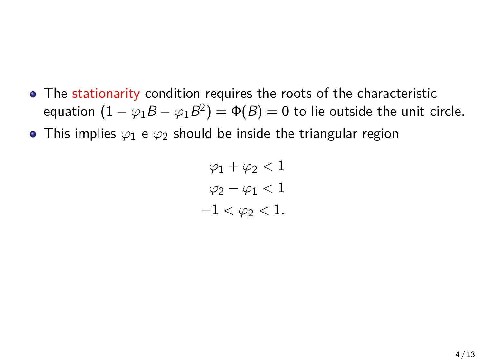- The stationarity condition requires the roots of the characteristic equation  $(1 - \varphi_1 B - \varphi_1 B^2) = \Phi(B) = 0$  to lie outside the unit circle.
- This implies  $\varphi_1$  e  $\varphi_2$  should be inside the triangular region

$$
\varphi_1 + \varphi_2 < 1
$$
\n
$$
\varphi_2 - \varphi_1 < 1
$$
\n
$$
-1 < \varphi_2 < 1.
$$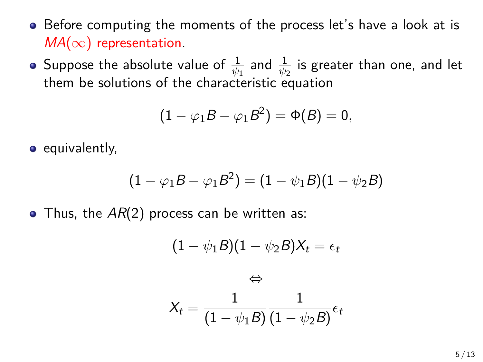- Before computing the moments of the process let's have a look at is *MA*(*∞*) representation.
- Suppose the absolute value of  $\frac{1}{\psi_1}$  and  $\frac{1}{\psi_2}$  is greater than one, and let them be solutions of the characteristic equation

$$
(1 - \varphi_1 B - \varphi_1 B^2) = \Phi(B) = 0,
$$

 $\bullet$  equivalently,

$$
(1 - \varphi_1 B - \varphi_1 B^2) = (1 - \psi_1 B)(1 - \psi_2 B)
$$

• Thus, the  $AR(2)$  process can be written as:

$$
(1 - \psi_1 B)(1 - \psi_2 B)X_t = \epsilon_t
$$

$$
\Leftrightarrow
$$

$$
X_t = \frac{1}{(1 - \psi_1 B)} \frac{1}{(1 - \psi_2 B)} \epsilon_t
$$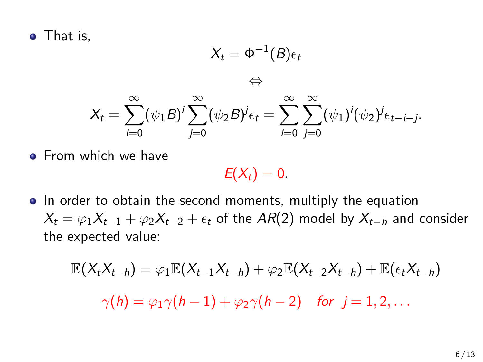• That is,

$$
X_t = \Phi^{-1}(B)\epsilon_t
$$
  
\n
$$
\Leftrightarrow
$$
  
\n
$$
X_t = \sum_{i=0}^{\infty} (\psi_1 B)^i \sum_{j=0}^{\infty} (\psi_2 B)^j \epsilon_t = \sum_{i=0}^{\infty} \sum_{j=0}^{\infty} (\psi_1)^i (\psi_2)^j \epsilon_{t-i-j}.
$$

**•** From which we have

 $E(X_t) = 0.$ 

• In order to obtain the second moments, multiply the equation  $X_t = \varphi_1 X_{t-1} + \varphi_2 X_{t-2} + \epsilon_t$  of the *AR*(2) model by  $X_{t-h}$  and consider the expected value:

$$
\mathbb{E}(X_tX_{t-h})=\varphi_1\mathbb{E}(X_{t-1}X_{t-h})+\varphi_2\mathbb{E}(X_{t-2}X_{t-h})+\mathbb{E}(\epsilon_tX_{t-h})
$$

 $\gamma(h) = \varphi_1 \gamma(h-1) + \varphi_2 \gamma(h-2)$  *for*  $i = 1, 2, ...$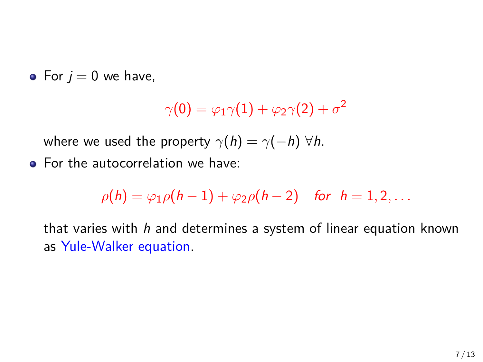• For  $j = 0$  we have,

$$
\gamma(0) = \varphi_1 \gamma(1) + \varphi_2 \gamma(2) + \sigma^2
$$

where we used the property  $\gamma(h) = \gamma(-h)$   $\forall h$ .

**•** For the autocorrelation we have:

$$
\rho(h) = \varphi_1 \rho(h-1) + \varphi_2 \rho(h-2) \quad \text{for} \quad h = 1, 2, \ldots
$$

that varies with *h* and determines a system of linear equation known as Yule-Walker equation.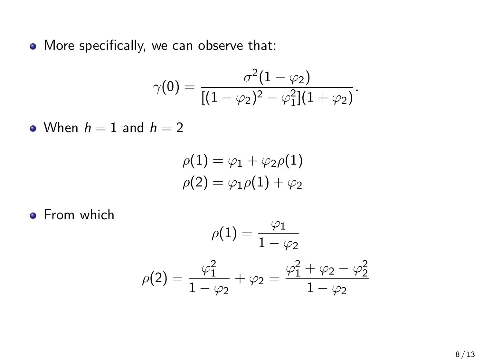• More specifically, we can observe that:

$$
\gamma(0) = \frac{\sigma^2(1-\varphi_2)}{[(1-\varphi_2)^2 - \varphi_1^2](1+\varphi_2)}.
$$

• When  $h = 1$  and  $h = 2$ 

$$
\rho(1) = \varphi_1 + \varphi_2 \rho(1)
$$
  

$$
\rho(2) = \varphi_1 \rho(1) + \varphi_2
$$

**•** From which

$$
\rho(1) = \frac{\varphi_1}{1 - \varphi_2}
$$

$$
\rho(2) = \frac{\varphi_1^2}{1 - \varphi_2} + \varphi_2 = \frac{\varphi_1^2 + \varphi_2 - \varphi_2^2}{1 - \varphi_2}
$$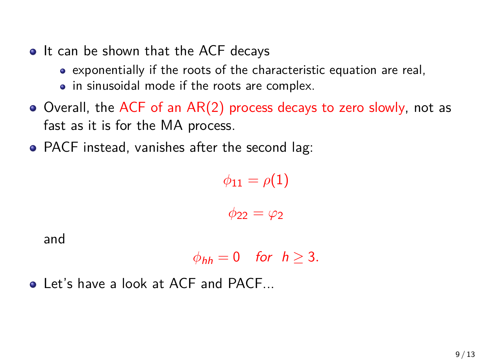- It can be shown that the ACF decays
	- exponentially if the roots of the characteristic equation are real,
	- in sinusoidal mode if the roots are complex.
- $\bullet$  Overall, the ACF of an AR(2) process decays to zero slowly, not as fast as it is for the MA process.
- PACF instead, vanishes after the second lag:

 $\phi_{11} = \rho(1)$  $\phi_{22} = \varphi_2$ 

and

$$
\phi_{hh}=0 \quad \text{for} \quad h\geq 3.
$$

**a** Let's have a look at ACF and PACF.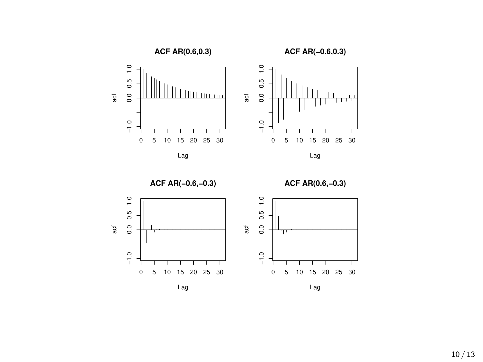

**ACF AR(−0.6,−0.3)**







Lag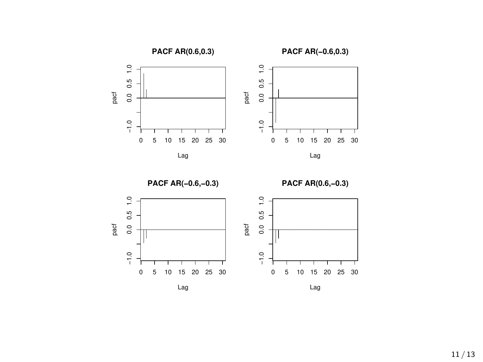







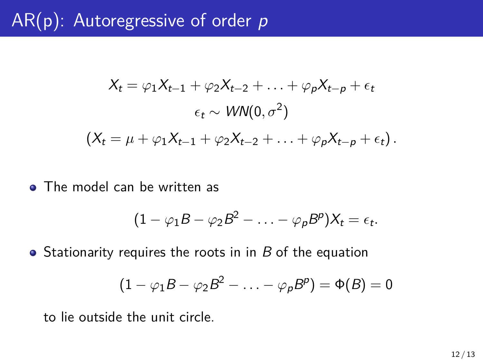## AR(p): Autoregressive of order *p*

$$
X_t = \varphi_1 X_{t-1} + \varphi_2 X_{t-2} + \ldots + \varphi_p X_{t-p} + \epsilon_t
$$

$$
\epsilon_t \sim \mathit{WN}(0, \sigma^2)
$$

$$
(X_t = \mu + \varphi_1 X_{t-1} + \varphi_2 X_{t-2} + \ldots + \varphi_p X_{t-p} + \epsilon_t).
$$

• The model can be written as

$$
(1 - \varphi_1 B - \varphi_2 B^2 - \ldots - \varphi_p B^p) X_t = \epsilon_t.
$$

• Stationarity requires the roots in in *B* of the equation

$$
(1 - \varphi_1 B - \varphi_2 B^2 - \ldots - \varphi_p B^p) = \Phi(B) = 0
$$

to lie outside the unit circle.